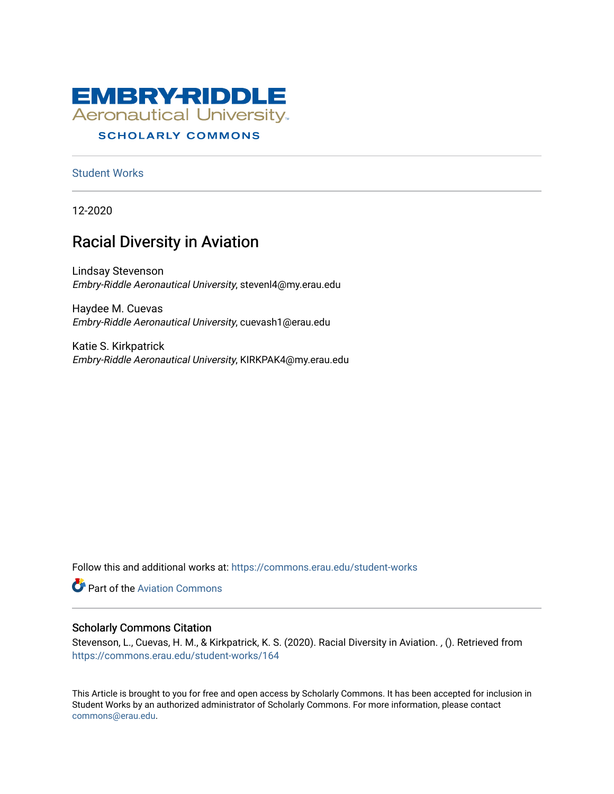

# **SCHOLARLY COMMONS**

[Student Works](https://commons.erau.edu/student-works)

12-2020

# Racial Diversity in Aviation

Lindsay Stevenson Embry-Riddle Aeronautical University, stevenl4@my.erau.edu

Haydee M. Cuevas Embry-Riddle Aeronautical University, cuevash1@erau.edu

Katie S. Kirkpatrick Embry-Riddle Aeronautical University, KIRKPAK4@my.erau.edu

Follow this and additional works at: [https://commons.erau.edu/student-works](https://commons.erau.edu/student-works?utm_source=commons.erau.edu%2Fstudent-works%2F164&utm_medium=PDF&utm_campaign=PDFCoverPages) 

**Part of the Aviation Commons** 

#### Scholarly Commons Citation

Stevenson, L., Cuevas, H. M., & Kirkpatrick, K. S. (2020). Racial Diversity in Aviation. , (). Retrieved from [https://commons.erau.edu/student-works/164](https://commons.erau.edu/student-works/164?utm_source=commons.erau.edu%2Fstudent-works%2F164&utm_medium=PDF&utm_campaign=PDFCoverPages) 

This Article is brought to you for free and open access by Scholarly Commons. It has been accepted for inclusion in Student Works by an authorized administrator of Scholarly Commons. For more information, please contact [commons@erau.edu](mailto:commons@erau.edu).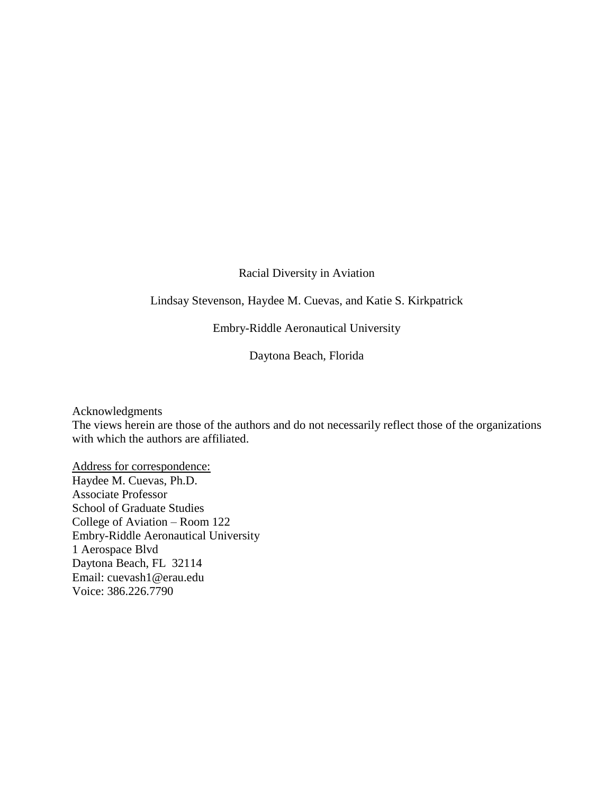# Racial Diversity in Aviation

# Lindsay Stevenson, Haydee M. Cuevas, and Katie S. Kirkpatrick

Embry-Riddle Aeronautical University

Daytona Beach, Florida

Acknowledgments

The views herein are those of the authors and do not necessarily reflect those of the organizations with which the authors are affiliated.

Address for correspondence: Haydee M. Cuevas, Ph.D. Associate Professor School of Graduate Studies College of Aviation – Room 122 Embry-Riddle Aeronautical University 1 Aerospace Blvd Daytona Beach, FL 32114 Email: cuevash1@erau.edu Voice: 386.226.7790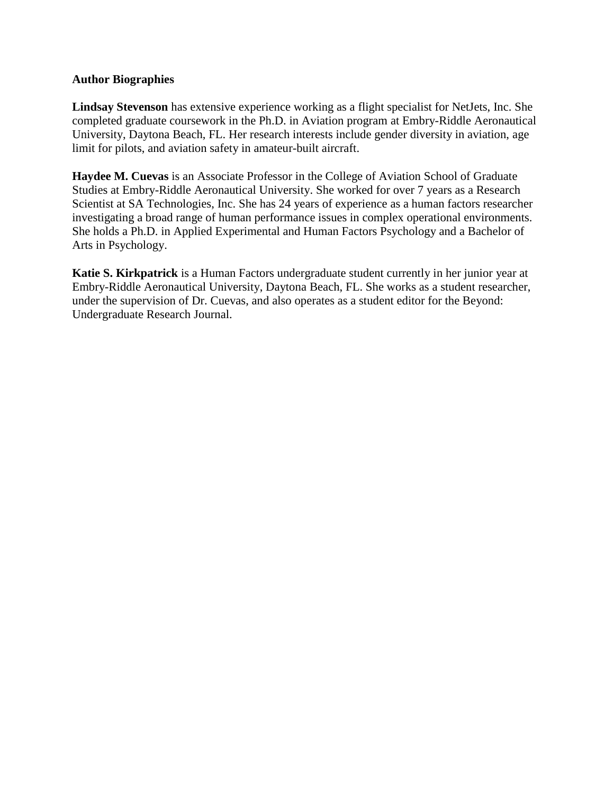# **Author Biographies**

**Lindsay Stevenson** has extensive experience working as a flight specialist for NetJets, Inc. She completed graduate coursework in the Ph.D. in Aviation program at Embry-Riddle Aeronautical University, Daytona Beach, FL. Her research interests include gender diversity in aviation, age limit for pilots, and aviation safety in amateur-built aircraft.

**Haydee M. Cuevas** is an Associate Professor in the College of Aviation School of Graduate Studies at Embry-Riddle Aeronautical University. She worked for over 7 years as a Research Scientist at SA Technologies, Inc. She has 24 years of experience as a human factors researcher investigating a broad range of human performance issues in complex operational environments. She holds a Ph.D. in Applied Experimental and Human Factors Psychology and a Bachelor of Arts in Psychology.

**Katie S. Kirkpatrick** is a Human Factors undergraduate student currently in her junior year at Embry-Riddle Aeronautical University, Daytona Beach, FL. She works as a student researcher, under the supervision of Dr. Cuevas, and also operates as a student editor for the Beyond: Undergraduate Research Journal.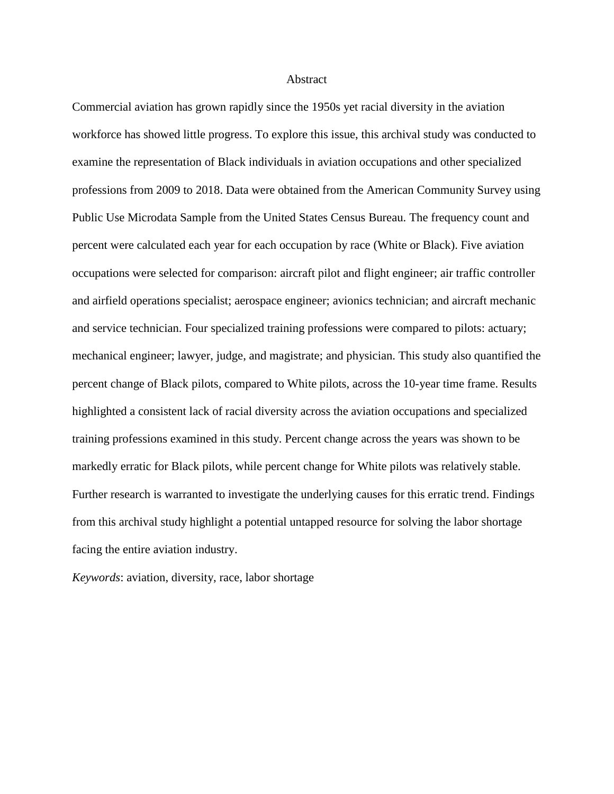#### Abstract

Commercial aviation has grown rapidly since the 1950s yet racial diversity in the aviation workforce has showed little progress. To explore this issue, this archival study was conducted to examine the representation of Black individuals in aviation occupations and other specialized professions from 2009 to 2018. Data were obtained from the American Community Survey using Public Use Microdata Sample from the United States Census Bureau. The frequency count and percent were calculated each year for each occupation by race (White or Black). Five aviation occupations were selected for comparison: aircraft pilot and flight engineer; air traffic controller and airfield operations specialist; aerospace engineer; avionics technician; and aircraft mechanic and service technician. Four specialized training professions were compared to pilots: actuary; mechanical engineer; lawyer, judge, and magistrate; and physician. This study also quantified the percent change of Black pilots, compared to White pilots, across the 10-year time frame. Results highlighted a consistent lack of racial diversity across the aviation occupations and specialized training professions examined in this study. Percent change across the years was shown to be markedly erratic for Black pilots, while percent change for White pilots was relatively stable. Further research is warranted to investigate the underlying causes for this erratic trend. Findings from this archival study highlight a potential untapped resource for solving the labor shortage facing the entire aviation industry.

*Keywords*: aviation, diversity, race, labor shortage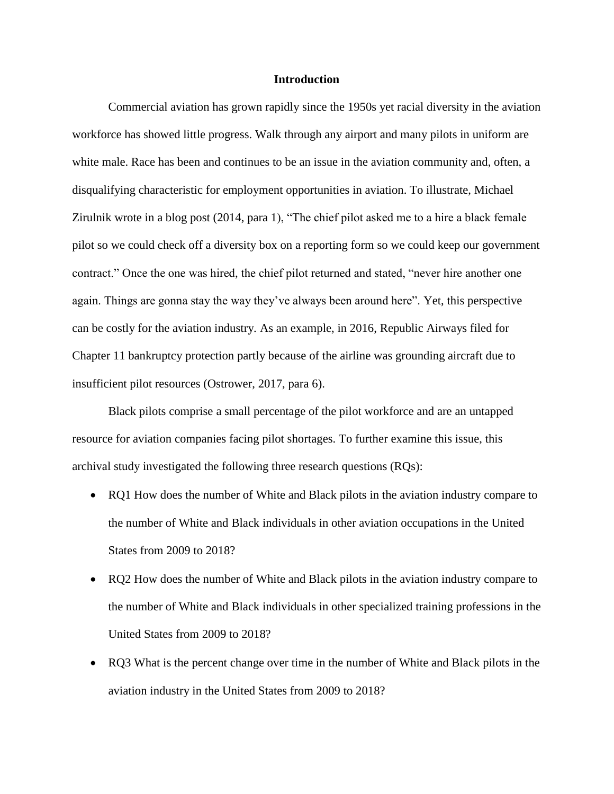#### **Introduction**

Commercial aviation has grown rapidly since the 1950s yet racial diversity in the aviation workforce has showed little progress. Walk through any airport and many pilots in uniform are white male. Race has been and continues to be an issue in the aviation community and, often, a disqualifying characteristic for employment opportunities in aviation. To illustrate, Michael Zirulnik wrote in a blog post (2014, para 1), "The chief pilot asked me to a hire a black female pilot so we could check off a diversity box on a reporting form so we could keep our government contract." Once the one was hired, the chief pilot returned and stated, "never hire another one again. Things are gonna stay the way they've always been around here". Yet, this perspective can be costly for the aviation industry. As an example, in 2016, Republic Airways filed for Chapter 11 bankruptcy protection partly because of the airline was grounding aircraft due to insufficient pilot resources (Ostrower, 2017, para 6).

Black pilots comprise a small percentage of the pilot workforce and are an untapped resource for aviation companies facing pilot shortages. To further examine this issue, this archival study investigated the following three research questions (RQs):

- RQ1 How does the number of White and Black pilots in the aviation industry compare to the number of White and Black individuals in other aviation occupations in the United States from 2009 to 2018?
- RQ2 How does the number of White and Black pilots in the aviation industry compare to the number of White and Black individuals in other specialized training professions in the United States from 2009 to 2018?
- RQ3 What is the percent change over time in the number of White and Black pilots in the aviation industry in the United States from 2009 to 2018?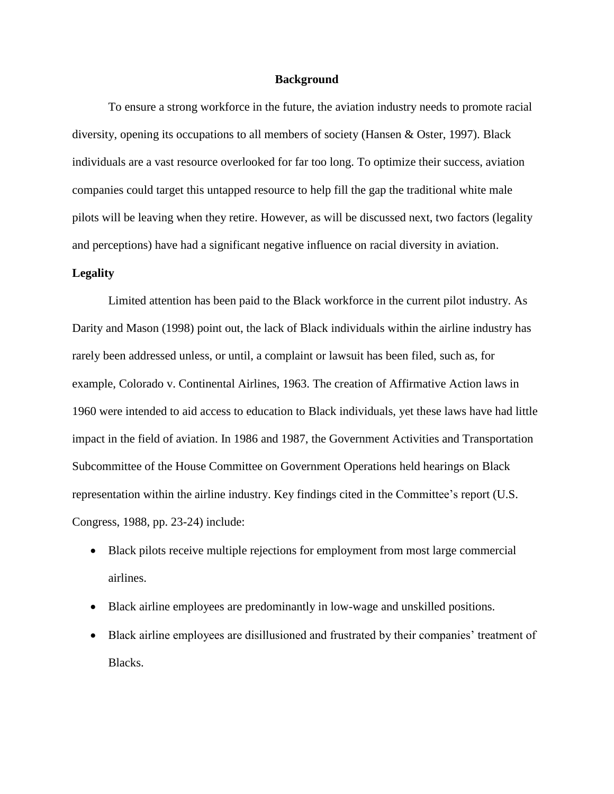#### **Background**

To ensure a strong workforce in the future, the aviation industry needs to promote racial diversity, opening its occupations to all members of society (Hansen & Oster, 1997). Black individuals are a vast resource overlooked for far too long. To optimize their success, aviation companies could target this untapped resource to help fill the gap the traditional white male pilots will be leaving when they retire. However, as will be discussed next, two factors (legality and perceptions) have had a significant negative influence on racial diversity in aviation.

#### **Legality**

Limited attention has been paid to the Black workforce in the current pilot industry. As Darity and Mason (1998) point out, the lack of Black individuals within the airline industry has rarely been addressed unless, or until, a complaint or lawsuit has been filed, such as, for example, Colorado v. Continental Airlines, 1963. The creation of Affirmative Action laws in 1960 were intended to aid access to education to Black individuals, yet these laws have had little impact in the field of aviation. In 1986 and 1987, the Government Activities and Transportation Subcommittee of the House Committee on Government Operations held hearings on Black representation within the airline industry. Key findings cited in the Committee's report (U.S. Congress, 1988, pp. 23-24) include:

- Black pilots receive multiple rejections for employment from most large commercial airlines.
- Black airline employees are predominantly in low-wage and unskilled positions.
- Black airline employees are disillusioned and frustrated by their companies' treatment of Blacks.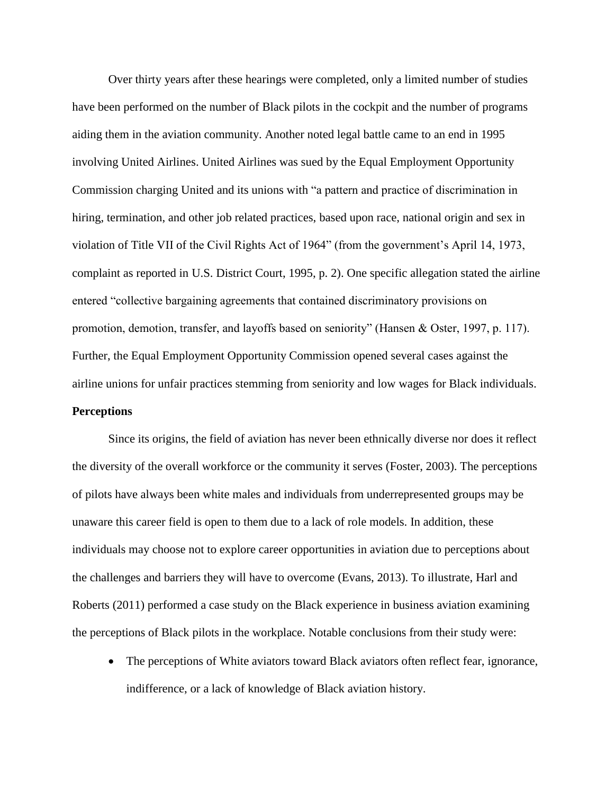Over thirty years after these hearings were completed, only a limited number of studies have been performed on the number of Black pilots in the cockpit and the number of programs aiding them in the aviation community. Another noted legal battle came to an end in 1995 involving United Airlines. United Airlines was sued by the Equal Employment Opportunity Commission charging United and its unions with "a pattern and practice of discrimination in hiring, termination, and other job related practices, based upon race, national origin and sex in violation of Title VII of the Civil Rights Act of 1964" (from the government's April 14, 1973, complaint as reported in U.S. District Court, 1995, p. 2). One specific allegation stated the airline entered "collective bargaining agreements that contained discriminatory provisions on promotion, demotion, transfer, and layoffs based on seniority" (Hansen & Oster, 1997, p. 117). Further, the Equal Employment Opportunity Commission opened several cases against the airline unions for unfair practices stemming from seniority and low wages for Black individuals. **Perceptions**

Since its origins, the field of aviation has never been ethnically diverse nor does it reflect the diversity of the overall workforce or the community it serves (Foster, 2003). The perceptions of pilots have always been white males and individuals from underrepresented groups may be unaware this career field is open to them due to a lack of role models. In addition, these individuals may choose not to explore career opportunities in aviation due to perceptions about the challenges and barriers they will have to overcome (Evans, 2013). To illustrate, Harl and Roberts (2011) performed a case study on the Black experience in business aviation examining the perceptions of Black pilots in the workplace. Notable conclusions from their study were:

• The perceptions of White aviators toward Black aviators often reflect fear, ignorance, indifference, or a lack of knowledge of Black aviation history.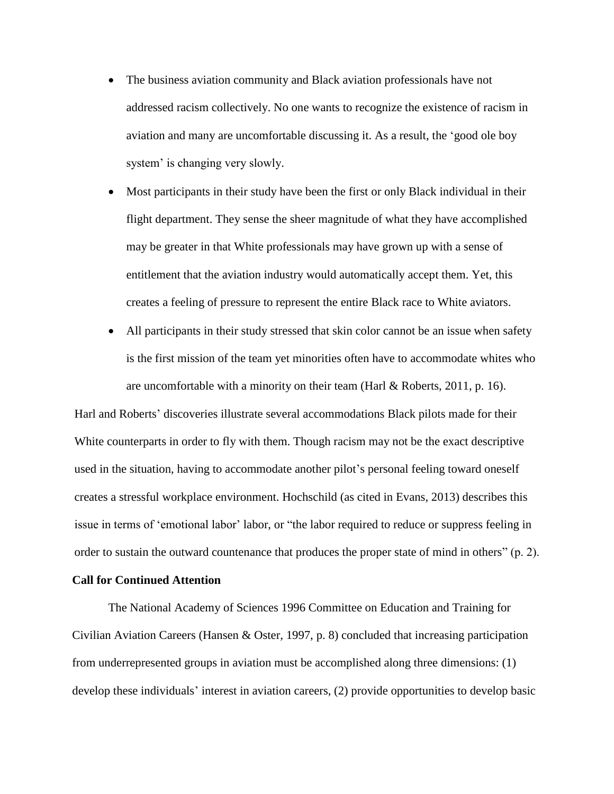- The business aviation community and Black aviation professionals have not addressed racism collectively. No one wants to recognize the existence of racism in aviation and many are uncomfortable discussing it. As a result, the 'good ole boy system' is changing very slowly.
- Most participants in their study have been the first or only Black individual in their flight department. They sense the sheer magnitude of what they have accomplished may be greater in that White professionals may have grown up with a sense of entitlement that the aviation industry would automatically accept them. Yet, this creates a feeling of pressure to represent the entire Black race to White aviators.
- All participants in their study stressed that skin color cannot be an issue when safety is the first mission of the team yet minorities often have to accommodate whites who are uncomfortable with a minority on their team (Harl  $\&$  Roberts, 2011, p. 16).

Harl and Roberts' discoveries illustrate several accommodations Black pilots made for their White counterparts in order to fly with them. Though racism may not be the exact descriptive used in the situation, having to accommodate another pilot's personal feeling toward oneself creates a stressful workplace environment. Hochschild (as cited in Evans, 2013) describes this issue in terms of 'emotional labor' labor, or "the labor required to reduce or suppress feeling in order to sustain the outward countenance that produces the proper state of mind in others" (p. 2).

# **Call for Continued Attention**

The National Academy of Sciences 1996 Committee on Education and Training for Civilian Aviation Careers (Hansen & Oster, 1997, p. 8) concluded that increasing participation from underrepresented groups in aviation must be accomplished along three dimensions: (1) develop these individuals' interest in aviation careers, (2) provide opportunities to develop basic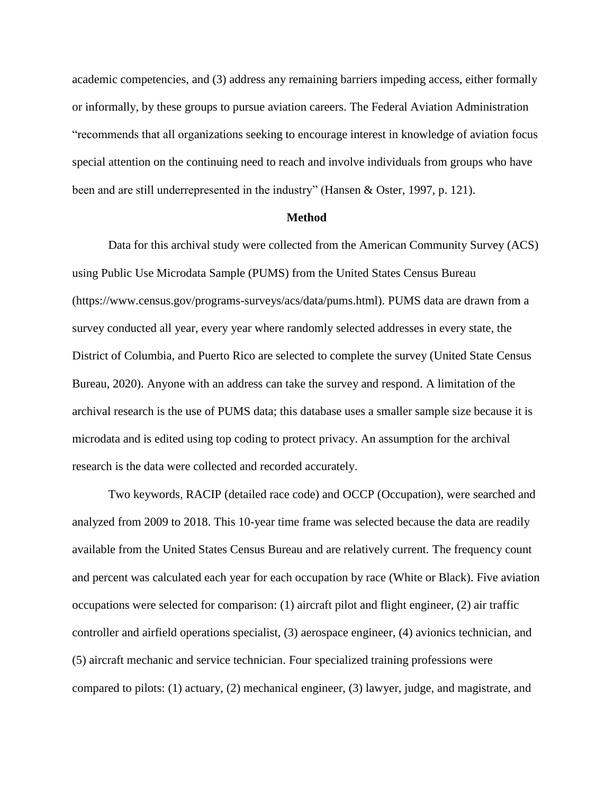academic competencies, and (3) address any remaining barriers impeding access, either formally or informally, by these groups to pursue aviation careers. The Federal Aviation Administration "recommends that all organizations seeking to encourage interest in knowledge of aviation focus special attention on the continuing need to reach and involve individuals from groups who have been and are still underrepresented in the industry" (Hansen & Oster, 1997, p. 121).

#### **Method**

Data for this archival study were collected from the American Community Survey (ACS) using Public Use Microdata Sample (PUMS) from the United States Census Bureau (https://www.census.gov/programs-surveys/acs/data/pums.html). PUMS data are drawn from a survey conducted all year, every year where randomly selected addresses in every state, the District of Columbia, and Puerto Rico are selected to complete the survey (United State Census Bureau, 2020). Anyone with an address can take the survey and respond. A limitation of the archival research is the use of PUMS data; this database uses a smaller sample size because it is microdata and is edited using top coding to protect privacy. An assumption for the archival research is the data were collected and recorded accurately.

Two keywords, RACIP (detailed race code) and OCCP (Occupation), were searched and analyzed from 2009 to 2018. This 10-year time frame was selected because the data are readily available from the United States Census Bureau and are relatively current. The frequency count and percent was calculated each year for each occupation by race (White or Black). Five aviation occupations were selected for comparison: (1) aircraft pilot and flight engineer, (2) air traffic controller and airfield operations specialist, (3) aerospace engineer, (4) avionics technician, and (5) aircraft mechanic and service technician. Four specialized training professions were compared to pilots: (1) actuary, (2) mechanical engineer, (3) lawyer, judge, and magistrate, and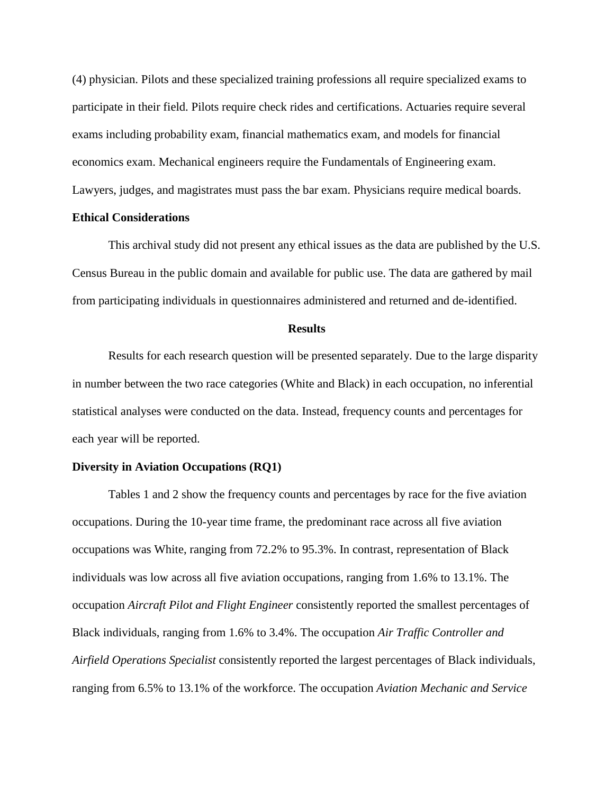(4) physician. Pilots and these specialized training professions all require specialized exams to participate in their field. Pilots require check rides and certifications. Actuaries require several exams including probability exam, financial mathematics exam, and models for financial economics exam. Mechanical engineers require the Fundamentals of Engineering exam. Lawyers, judges, and magistrates must pass the bar exam. Physicians require medical boards.

#### **Ethical Considerations**

This archival study did not present any ethical issues as the data are published by the U.S. Census Bureau in the public domain and available for public use. The data are gathered by mail from participating individuals in questionnaires administered and returned and de-identified.

#### **Results**

Results for each research question will be presented separately. Due to the large disparity in number between the two race categories (White and Black) in each occupation, no inferential statistical analyses were conducted on the data. Instead, frequency counts and percentages for each year will be reported.

#### **Diversity in Aviation Occupations (RQ1)**

Tables 1 and 2 show the frequency counts and percentages by race for the five aviation occupations. During the 10-year time frame, the predominant race across all five aviation occupations was White, ranging from 72.2% to 95.3%. In contrast, representation of Black individuals was low across all five aviation occupations, ranging from 1.6% to 13.1%. The occupation *Aircraft Pilot and Flight Engineer* consistently reported the smallest percentages of Black individuals, ranging from 1.6% to 3.4%. The occupation *Air Traffic Controller and Airfield Operations Specialist* consistently reported the largest percentages of Black individuals, ranging from 6.5% to 13.1% of the workforce. The occupation *Aviation Mechanic and Service*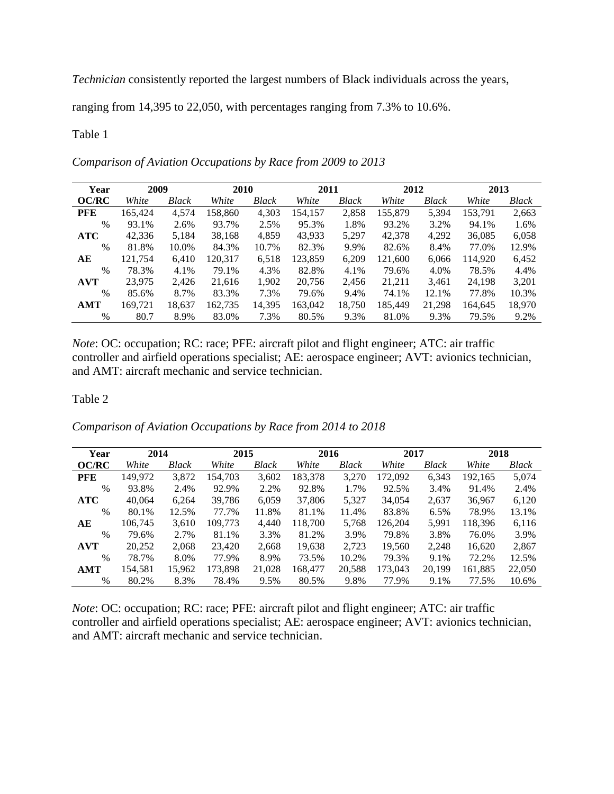*Technician* consistently reported the largest numbers of Black individuals across the years,

ranging from 14,395 to 22,050, with percentages ranging from 7.3% to 10.6%.

# Table 1

| Year          | 2009    |              | 2010    |        | 2011    |        | 2012    |        | 2013    |        |
|---------------|---------|--------------|---------|--------|---------|--------|---------|--------|---------|--------|
| OC/RC         | White   | <b>Black</b> | White   | Black  | White   | Black  | White   | Black  | White   | Black  |
| <b>PFE</b>    | 165,424 | 4,574        | 158.860 | 4,303  | 154,157 | 2,858  | 155,879 | 5,394  | 153.791 | 2,663  |
| $\%$          | 93.1%   | 2.6%         | 93.7%   | 2.5%   | 95.3%   | 1.8%   | 93.2%   | 3.2%   | 94.1%   | 1.6%   |
| <b>ATC</b>    | 42,336  | 5.184        | 38,168  | 4,859  | 43,933  | 5,297  | 42,378  | 4,292  | 36,085  | 6,058  |
| $\frac{0}{0}$ | 81.8%   | 10.0%        | 84.3%   | 10.7%  | 82.3%   | 9.9%   | 82.6%   | 8.4%   | 77.0%   | 12.9%  |
| AЕ            | 121.754 | 6,410        | 120,317 | 6,518  | 123,859 | 6,209  | 121,600 | 6,066  | 114.920 | 6,452  |
| $\frac{0}{0}$ | 78.3%   | 4.1%         | 79.1%   | 4.3%   | 82.8%   | 4.1%   | 79.6%   | 4.0%   | 78.5%   | 4.4%   |
| <b>AVT</b>    | 23,975  | 2,426        | 21.616  | 1,902  | 20.756  | 2,456  | 21,211  | 3,461  | 24.198  | 3,201  |
| $\%$          | 85.6%   | 8.7%         | 83.3%   | 7.3%   | 79.6%   | 9.4%   | 74.1%   | 12.1%  | 77.8%   | 10.3%  |
| AMT           | 169.721 | 18,637       | 162,735 | 14,395 | 163.042 | 18,750 | 185.449 | 21,298 | 164.645 | 18,970 |

*Comparison of Aviation Occupations by Race from 2009 to 2013*

*Note*: OC: occupation; RC: race; PFE: aircraft pilot and flight engineer; ATC: air traffic controller and airfield operations specialist; AE: aerospace engineer; AVT: avionics technician, and AMT: aircraft mechanic and service technician.

% 80.7 8.9% 83.0% 7.3% 80.5% 9.3% 81.0% 9.3% 79.5% 9.2%

# Table 2

*Comparison of Aviation Occupations by Race from 2014 to 2018*

| Year          | 2014    |        | 2015    |        | 2016    |        | 2017    |        | 2018    |        |
|---------------|---------|--------|---------|--------|---------|--------|---------|--------|---------|--------|
| <b>OC/RC</b>  | White   | Black  | White   | Black  | White   | Black  | White   | Black  | White   | Black  |
| <b>PFE</b>    | 149.972 | 3,872  | 154.703 | 3,602  | 183,378 | 3,270  | 172,092 | 6,343  | 192,165 | 5,074  |
| $\%$          | 93.8%   | 2.4%   | 92.9%   | 2.2%   | 92.8%   | 1.7%   | 92.5%   | 3.4%   | 91.4%   | 2.4%   |
| <b>ATC</b>    | 40,064  | 6.264  | 39.786  | 6.059  | 37,806  | 5.327  | 34,054  | 2,637  | 36,967  | 6,120  |
| %             | 80.1%   | 12.5%  | 77.7%   | 11.8%  | 81.1%   | 11.4%  | 83.8%   | 6.5%   | 78.9%   | 13.1%  |
| AE            | 106.745 | 3.610  | 109.773 | 4.440  | 118.700 | 5,768  | 126.204 | 5,991  | 118,396 | 6,116  |
| $\%$          | 79.6%   | 2.7%   | 81.1%   | 3.3%   | 81.2%   | 3.9%   | 79.8%   | 3.8%   | 76.0%   | 3.9%   |
| <b>AVT</b>    | 20,252  | 2,068  | 23,420  | 2,668  | 19,638  | 2,723  | 19,560  | 2,248  | 16,620  | 2,867  |
| $\frac{0}{0}$ | 78.7%   | 8.0%   | 77.9%   | 8.9%   | 73.5%   | 10.2%  | 79.3%   | 9.1%   | 72.2%   | 12.5%  |
| <b>AMT</b>    | 154,581 | 15,962 | 173.898 | 21,028 | 168,477 | 20,588 | 173,043 | 20,199 | 161.885 | 22,050 |
| $\%$          | 80.2%   | 8.3%   | 78.4%   | 9.5%   | 80.5%   | 9.8%   | 77.9%   | 9.1%   | 77.5%   | 10.6%  |

*Note*: OC: occupation; RC: race; PFE: aircraft pilot and flight engineer; ATC: air traffic controller and airfield operations specialist; AE: aerospace engineer; AVT: avionics technician, and AMT: aircraft mechanic and service technician.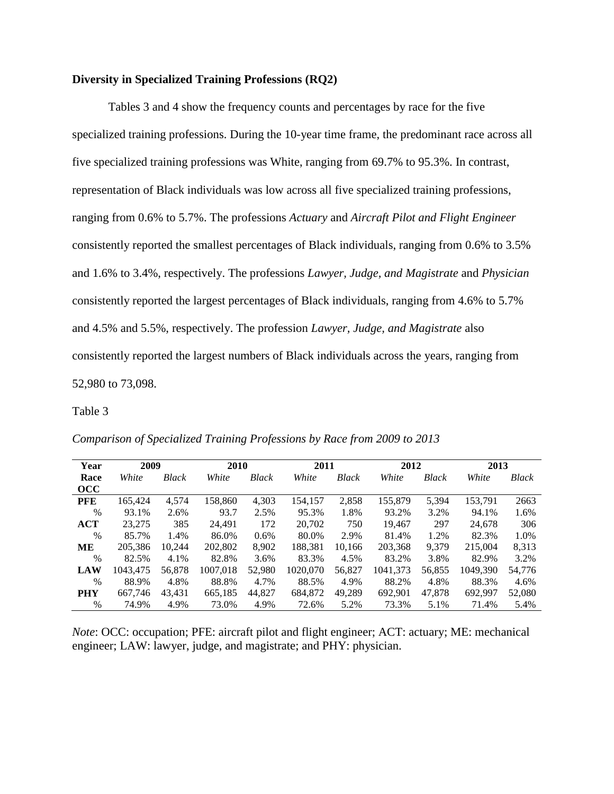# **Diversity in Specialized Training Professions (RQ2)**

Tables 3 and 4 show the frequency counts and percentages by race for the five specialized training professions. During the 10-year time frame, the predominant race across all five specialized training professions was White, ranging from 69.7% to 95.3%. In contrast, representation of Black individuals was low across all five specialized training professions, ranging from 0.6% to 5.7%. The professions *Actuary* and *Aircraft Pilot and Flight Engineer* consistently reported the smallest percentages of Black individuals, ranging from 0.6% to 3.5% and 1.6% to 3.4%, respectively. The professions *Lawyer, Judge, and Magistrate* and *Physician* consistently reported the largest percentages of Black individuals, ranging from 4.6% to 5.7% and 4.5% and 5.5%, respectively. The profession *Lawyer, Judge, and Magistrate* also consistently reported the largest numbers of Black individuals across the years, ranging from 52,980 to 73,098.

Table 3

*Comparison of Specialized Training Professions by Race from 2009 to 2013*

| Year       | 2009     |              | 2010     |              | 2011     |              | 2012     |              | 2013     |        |
|------------|----------|--------------|----------|--------------|----------|--------------|----------|--------------|----------|--------|
| Race       | White    | <b>Black</b> | White    | <b>Black</b> | White    | <b>Black</b> | White    | <b>Black</b> | White    | Black  |
| occ        |          |              |          |              |          |              |          |              |          |        |
| <b>PFE</b> | 165,424  | 4,574        | 158,860  | 4,303        | 154,157  | 2,858        | 155,879  | 5,394        | 153,791  | 2663   |
| $\%$       | 93.1%    | 2.6%         | 93.7     | 2.5%         | 95.3%    | 1.8%         | 93.2%    | 3.2%         | 94.1%    | 1.6%   |
| <b>ACT</b> | 23,275   | 385          | 24.491   | 172          | 20,702   | 750          | 19.467   | 297          | 24,678   | 306    |
| $\%$       | 85.7%    | 1.4%         | 86.0%    | 0.6%         | 80.0%    | 2.9%         | 81.4%    | 1.2%         | 82.3%    | 1.0%   |
| ME         | 205,386  | 10.244       | 202,802  | 8.902        | 188.381  | 10.166       | 203,368  | 9.379        | 215,004  | 8,313  |
| $\%$       | 82.5%    | 4.1%         | 82.8%    | 3.6%         | 83.3%    | 4.5%         | 83.2%    | 3.8%         | 82.9%    | 3.2%   |
| <b>LAW</b> | 1043.475 | 56,878       | 1007.018 | 52,980       | 1020.070 | 56,827       | 1041,373 | 56,855       | 1049.390 | 54,776 |
| $\%$       | 88.9%    | 4.8%         | 88.8%    | 4.7%         | 88.5%    | 4.9%         | 88.2%    | 4.8%         | 88.3%    | 4.6%   |
| <b>PHY</b> | 667,746  | 43.431       | 665,185  | 44.827       | 684,872  | 49,289       | 692,901  | 47,878       | 692,997  | 52,080 |
| $\%$       | 74.9%    | 4.9%         | 73.0%    | 4.9%         | 72.6%    | 5.2%         | 73.3%    | 5.1%         | 71.4%    | 5.4%   |

*Note*: OCC: occupation; PFE: aircraft pilot and flight engineer; ACT: actuary; ME: mechanical engineer; LAW: lawyer, judge, and magistrate; and PHY: physician.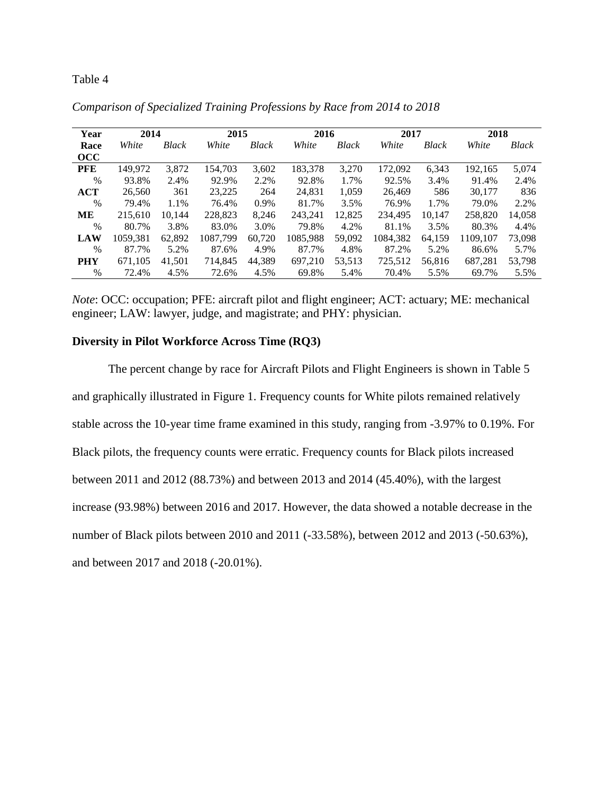# Table 4

| Year       | 2014     |              | 2015     |              | 2016     |              | 2017     |              | 2018     |        |
|------------|----------|--------------|----------|--------------|----------|--------------|----------|--------------|----------|--------|
| Race       | White    | <b>Black</b> | White    | <b>Black</b> | White    | <b>Black</b> | White    | <b>Black</b> | White    | Black  |
| occ        |          |              |          |              |          |              |          |              |          |        |
| <b>PFE</b> | 149,972  | 3,872        | 154,703  | 3,602        | 183,378  | 3,270        | 172,092  | 6,343        | 192,165  | 5,074  |
| $\%$       | 93.8%    | 2.4%         | 92.9%    | 2.2%         | 92.8%    | 1.7%         | 92.5%    | 3.4%         | 91.4%    | 2.4%   |
| <b>ACT</b> | 26,560   | 361          | 23,225   | 264          | 24.831   | 1,059        | 26,469   | 586          | 30,177   | 836    |
| $\%$       | 79.4%    | 1.1%         | 76.4%    | 0.9%         | 81.7%    | 3.5%         | 76.9%    | 1.7%         | 79.0%    | 2.2%   |
| MЕ         | 215,610  | 10.144       | 228,823  | 8,246        | 243.241  | 12,825       | 234,495  | 10.147       | 258,820  | 14,058 |
| $\%$       | 80.7%    | 3.8%         | 83.0%    | 3.0%         | 79.8%    | 4.2%         | 81.1%    | 3.5%         | 80.3%    | 4.4%   |
| <b>LAW</b> | 1059,381 | 62,892       | 1087,799 | 60,720       | 1085,988 | 59,092       | 1084,382 | 64,159       | 1109,107 | 73,098 |
| $\%$       | 87.7%    | 5.2%         | 87.6%    | 4.9%         | 87.7%    | 4.8%         | 87.2%    | 5.2%         | 86.6%    | 5.7%   |
| <b>PHY</b> | 671,105  | 41,501       | 714,845  | 44,389       | 697,210  | 53,513       | 725,512  | 56,816       | 687,281  | 53,798 |
| $\%$       | 72.4%    | 4.5%         | 72.6%    | 4.5%         | 69.8%    | 5.4%         | 70.4%    | 5.5%         | 69.7%    | 5.5%   |

*Comparison of Specialized Training Professions by Race from 2014 to 2018*

*Note*: OCC: occupation; PFE: aircraft pilot and flight engineer; ACT: actuary; ME: mechanical engineer; LAW: lawyer, judge, and magistrate; and PHY: physician.

# **Diversity in Pilot Workforce Across Time (RQ3)**

The percent change by race for Aircraft Pilots and Flight Engineers is shown in Table 5 and graphically illustrated in Figure 1. Frequency counts for White pilots remained relatively stable across the 10-year time frame examined in this study, ranging from -3.97% to 0.19%. For Black pilots, the frequency counts were erratic. Frequency counts for Black pilots increased between 2011 and 2012 (88.73%) and between 2013 and 2014 (45.40%), with the largest increase (93.98%) between 2016 and 2017. However, the data showed a notable decrease in the number of Black pilots between 2010 and 2011 (-33.58%), between 2012 and 2013 (-50.63%), and between 2017 and 2018 (-20.01%).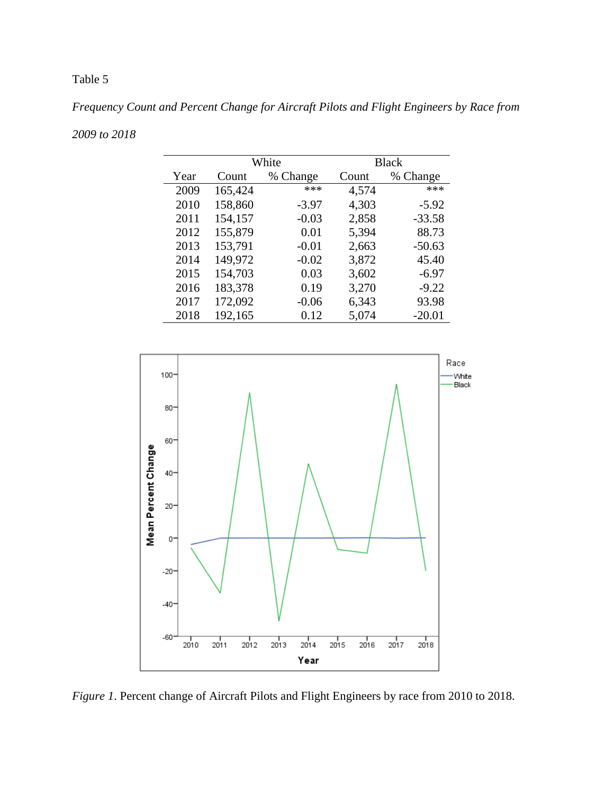# Table 5

*Frequency Count and Percent Change for Aircraft Pilots and Flight Engineers by Race from* 

| 2009 to 2018 |  |
|--------------|--|
|--------------|--|

|      |         | White    | <b>Black</b> |          |  |  |
|------|---------|----------|--------------|----------|--|--|
| Year | Count   | % Change | Count        | % Change |  |  |
| 2009 | 165,424 | ***      | 4,574        | ***      |  |  |
| 2010 | 158,860 | $-3.97$  | 4,303        | $-5.92$  |  |  |
| 2011 | 154,157 | $-0.03$  | 2,858        | $-33.58$ |  |  |
| 2012 | 155,879 | 0.01     | 5,394        | 88.73    |  |  |
| 2013 | 153,791 | $-0.01$  | 2,663        | $-50.63$ |  |  |
| 2014 | 149,972 | $-0.02$  | 3,872        | 45.40    |  |  |
| 2015 | 154,703 | 0.03     | 3,602        | $-6.97$  |  |  |
| 2016 | 183,378 | 0.19     | 3,270        | $-9.22$  |  |  |
| 2017 | 172,092 | $-0.06$  | 6,343        | 93.98    |  |  |
| 2018 | 192,165 | 0.12     | 5,074        | $-20.01$ |  |  |



*Figure 1*. Percent change of Aircraft Pilots and Flight Engineers by race from 2010 to 2018.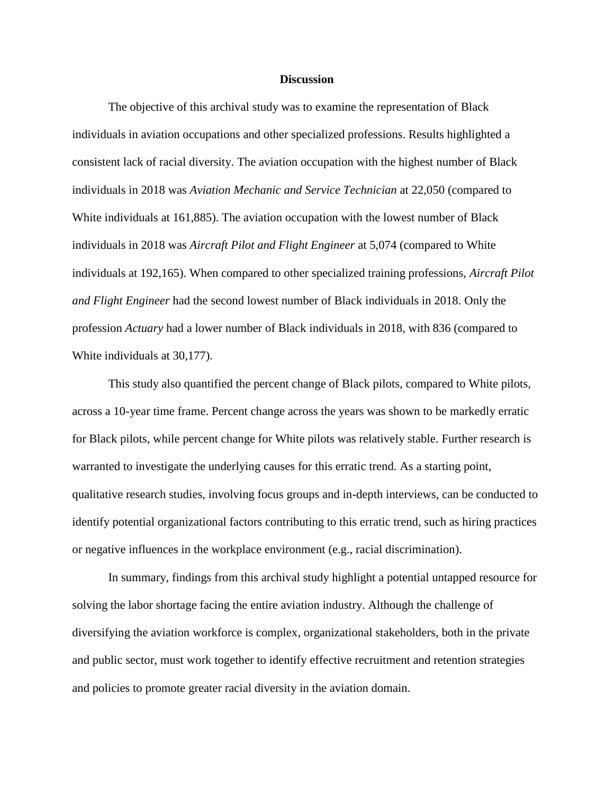#### **Discussion**

The objective of this archival study was to examine the representation of Black individuals in aviation occupations and other specialized professions. Results highlighted a consistent lack of racial diversity. The aviation occupation with the highest number of Black individuals in 2018 was *Aviation Mechanic and Service Technician* at 22,050 (compared to White individuals at 161,885). The aviation occupation with the lowest number of Black individuals in 2018 was *Aircraft Pilot and Flight Engineer* at 5,074 (compared to White individuals at 192,165). When compared to other specialized training professions, *Aircraft Pilot and Flight Engineer* had the second lowest number of Black individuals in 2018. Only the profession *Actuary* had a lower number of Black individuals in 2018, with 836 (compared to White individuals at 30,177).

This study also quantified the percent change of Black pilots, compared to White pilots, across a 10-year time frame. Percent change across the years was shown to be markedly erratic for Black pilots, while percent change for White pilots was relatively stable. Further research is warranted to investigate the underlying causes for this erratic trend. As a starting point, qualitative research studies, involving focus groups and in-depth interviews, can be conducted to identify potential organizational factors contributing to this erratic trend, such as hiring practices or negative influences in the workplace environment (e.g., racial discrimination).

In summary, findings from this archival study highlight a potential untapped resource for solving the labor shortage facing the entire aviation industry. Although the challenge of diversifying the aviation workforce is complex, organizational stakeholders, both in the private and public sector, must work together to identify effective recruitment and retention strategies and policies to promote greater racial diversity in the aviation domain.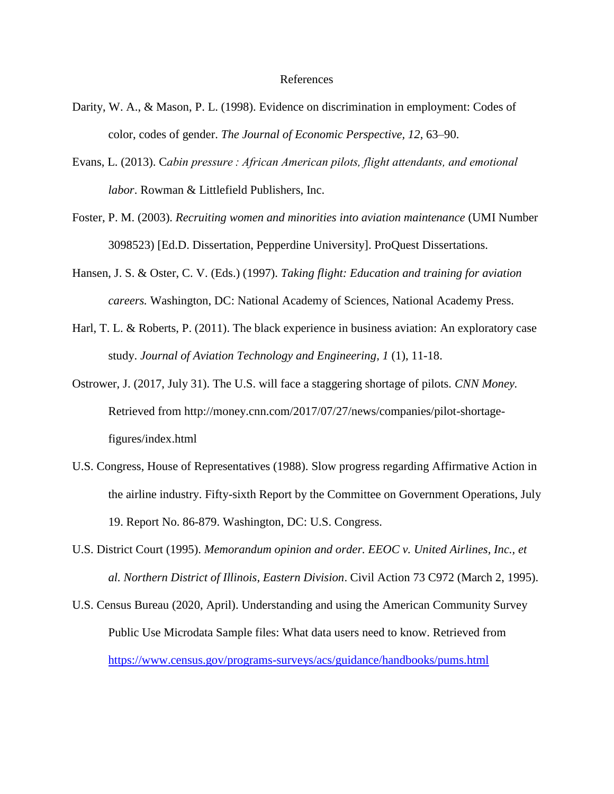#### References

- Darity, W. A., & Mason, P. L. (1998). Evidence on discrimination in employment: Codes of color, codes of gender. *The Journal of Economic Perspective, 12*, 63–90.
- Evans, L. (2013). C*abin pressure : African American pilots, flight attendants, and emotional labor*. Rowman & Littlefield Publishers, Inc.
- Foster, P. M. (2003). *Recruiting women and minorities into aviation maintenance* (UMI Number 3098523) [Ed.D. Dissertation, Pepperdine University]. ProQuest Dissertations.
- Hansen, J. S. & Oster, C. V. (Eds.) (1997). *Taking flight: Education and training for aviation careers.* Washington, DC: National Academy of Sciences, National Academy Press.
- Harl, T. L. & Roberts, P. (2011). The black experience in business aviation: An exploratory case study. *Journal of Aviation Technology and Engineering, 1* (1), 11-18.
- Ostrower, J. (2017, July 31). The U.S. will face a staggering shortage of pilots. *CNN Money.*  Retrieved from http://money.cnn.com/2017/07/27/news/companies/pilot-shortagefigures/index.html
- U.S. Congress, House of Representatives (1988). Slow progress regarding Affirmative Action in the airline industry. Fifty-sixth Report by the Committee on Government Operations, July 19. Report No. 86-879. Washington, DC: U.S. Congress.
- U.S. District Court (1995). *Memorandum opinion and order. EEOC v. United Airlines, Inc., et al. Northern District of Illinois, Eastern Division*. Civil Action 73 C972 (March 2, 1995).
- U.S. Census Bureau (2020, April). Understanding and using the American Community Survey Public Use Microdata Sample files: What data users need to know. Retrieved from <https://www.census.gov/programs-surveys/acs/guidance/handbooks/pums.html>